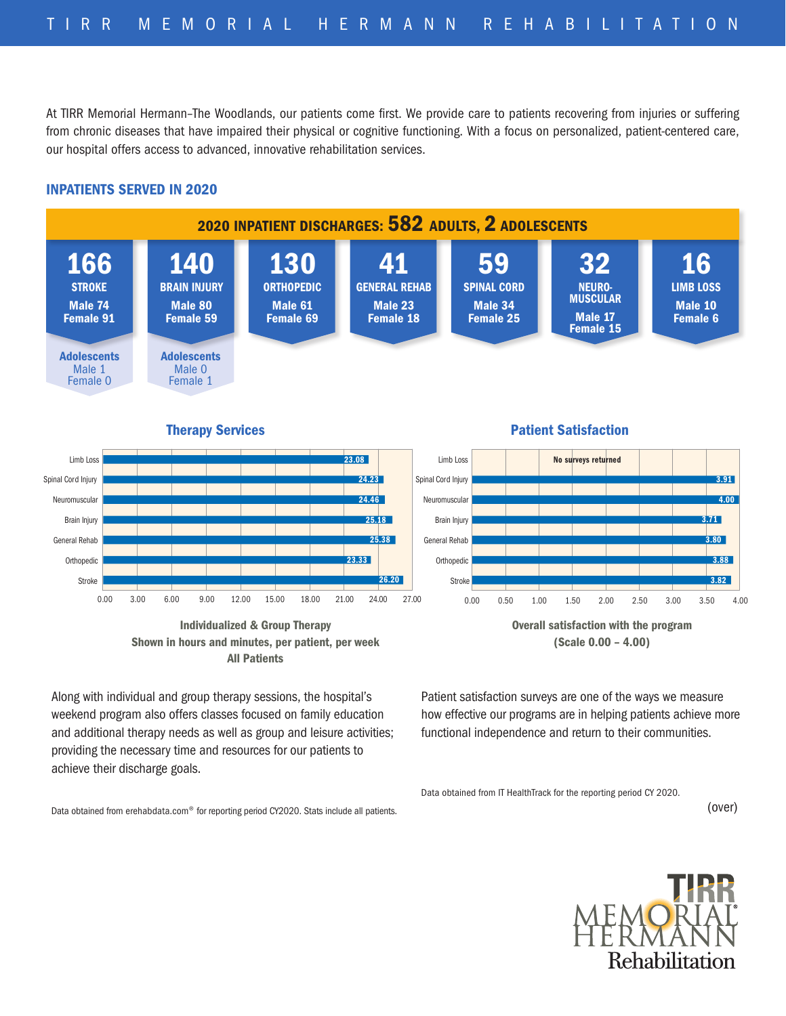At TIRR Memorial Hermann–The Woodlands, our patients come first. We provide care to patients recovering from injuries or suffering from chronic diseases that have impaired their physical or cognitive functioning. With a focus on personalized, patient-centered care, our hospital offers access to advanced, innovative rehabilitation services.

## INPATIENTS SERVED IN 2020



Therapy Services

0.00 3.00 6.00 9.00 12.00 15.00 18.00 21.00 24.00 27.00 **Stroke Orthopedic** General Rehab **Brain Injury** Neuromuscular Spinal Cord Injury Limb Loss 26.20 23.33 25.18 25.38 24.23 23.08 24.46 Individualized & Group Therapy

Shown in hours and minutes, per patient, per week All Patients

Along with individual and group therapy sessions, the hospital's weekend program also offers classes focused on family education and additional therapy needs as well as group and leisure activities; providing the necessary time and resources for our patients to achieve their discharge goals.

Data obtained from erehabdata.com® for reporting period CY2020. Stats include all patients.

## **Therapy Services Patient Satisfaction**



(Scale 0.00 – 4.00)

Patient satisfaction surveys are one of the ways we measure how effective our programs are in helping patients achieve more functional independence and return to their communities.

Data obtained from IT HealthTrack for the reporting period CY 2020.

(over)